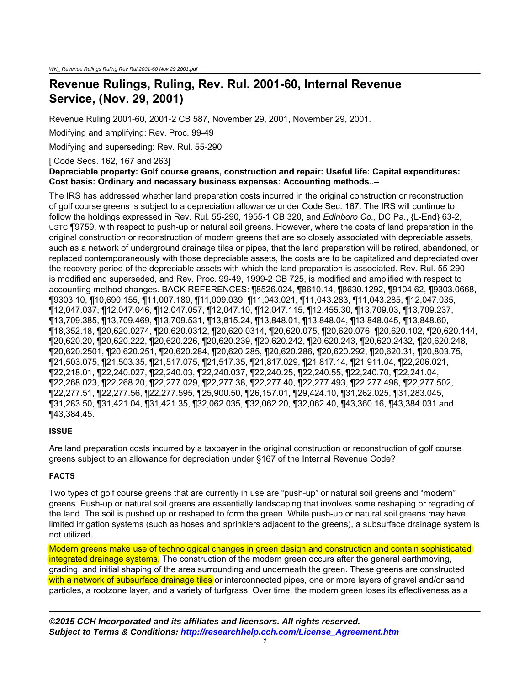# **Revenue Rulings, Ruling, Rev. Rul. 2001-60, Internal Revenue Service, (Nov. 29, 2001)**

Revenue Ruling 2001-60, 2001-2 CB 587, November 29, 2001, November 29, 2001.

Modifying and amplifying: Rev. Proc. 99-49

Modifying and superseding: Rev. Rul. 55-290

[ Code Secs. 162, 167 and 263]

#### **Depreciable property: Golf course greens, construction and repair: Useful life: Capital expenditures: Cost basis: Ordinary and necessary business expenses: Accounting methods..–**

The IRS has addressed whether land preparation costs incurred in the original construction or reconstruction of golf course greens is subject to a depreciation allowance under Code Sec. 167. The IRS will continue to follow the holdings expressed in Rev. Rul. 55-290, 1955-1 CB 320, and *Edinboro Co.*, DC Pa., {L-End} 63-2, USTC ¶9759, with respect to push-up or natural soil greens. However, where the costs of land preparation in the original construction or reconstruction of modern greens that are so closely associated with depreciable assets, such as a network of underground drainage tiles or pipes, that the land preparation will be retired, abandoned, or replaced contemporaneously with those depreciable assets, the costs are to be capitalized and depreciated over the recovery period of the depreciable assets with which the land preparation is associated. Rev. Rul. 55-290 is modified and superseded, and Rev. Proc. 99-49, 1999-2 CB 725, is modified and amplified with respect to accounting method changes. BACK REFERENCES: ¶8526.024, ¶8610.14, ¶8630.1292, ¶9104.62, ¶9303.0668, ¶9303.10, ¶10,690.155, ¶11,007.189, ¶11,009.039, ¶11,043.021, ¶11,043.283, ¶11,043.285, ¶12,047.035, ¶12,047.037, ¶12,047.046, ¶12,047.057, ¶12,047.10, ¶12,047.115, ¶12,455.30, ¶13,709.03, ¶13,709.237, ¶13,709.385, ¶13,709.469, ¶13,709.531, ¶13,815.24, ¶13,848.01, ¶13,848.04, ¶13,848.045, ¶13,848.60, ¶18,352.18, ¶20,620.0274, ¶20,620.0312, ¶20,620.0314, ¶20,620.075, ¶20,620.076, ¶20,620.102, ¶20,620.144, ¶20,620.20, ¶20,620.222, ¶20,620.226, ¶20,620.239, ¶20,620.242, ¶20,620.243, ¶20,620.2432, ¶20,620.248, ¶20,620.2501, ¶20,620.251, ¶20,620.284, ¶20,620.285, ¶20,620.286, ¶20,620.292, ¶20,620.31, ¶20,803.75, ¶21,503.075, ¶21,503.35, ¶21,517.075, ¶21,517.35, ¶21,817.029, ¶21,817.14, ¶21,911.04, ¶22,206.021, ¶22,218.01, ¶22,240.027, ¶22,240.03, ¶22,240.037, ¶22,240.25, ¶22,240.55, ¶22,240.70, ¶22,241.04, ¶22,268.023, ¶22,268.20, ¶22,277.029, ¶22,277.38, ¶22,277.40, ¶22,277.493, ¶22,277.498, ¶22,277.502, ¶22,277.51, ¶22,277.56, ¶22,277.595, ¶25,900.50, ¶26,157.01, ¶29,424.10, ¶31,262.025, ¶31,283.045, ¶31,283.50, ¶31,421.04, ¶31,421.35, ¶32,062.035, ¶32,062.20, ¶32,062.40, ¶43,360.16, ¶43,384.031 and ¶43,384.45.

### **ISSUE**

Are land preparation costs incurred by a taxpayer in the original construction or reconstruction of golf course greens subject to an allowance for depreciation under §167 of the Internal Revenue Code?

# **FACTS**

Two types of golf course greens that are currently in use are "push-up" or natural soil greens and "modern" greens. Push-up or natural soil greens are essentially landscaping that involves some reshaping or regrading of the land. The soil is pushed up or reshaped to form the green. While push-up or natural soil greens may have limited irrigation systems (such as hoses and sprinklers adjacent to the greens), a subsurface drainage system is not utilized.

Modern greens make use of technological changes in green design and construction and contain sophisticated integrated drainage systems. The construction of the modern green occurs after the general earthmoving, grading, and initial shaping of the area surrounding and underneath the green. These greens are constructed with a network of subsurface drainage tiles or interconnected pipes, one or more layers of gravel and/or sand particles, a rootzone layer, and a variety of turfgrass. Over time, the modern green loses its effectiveness as a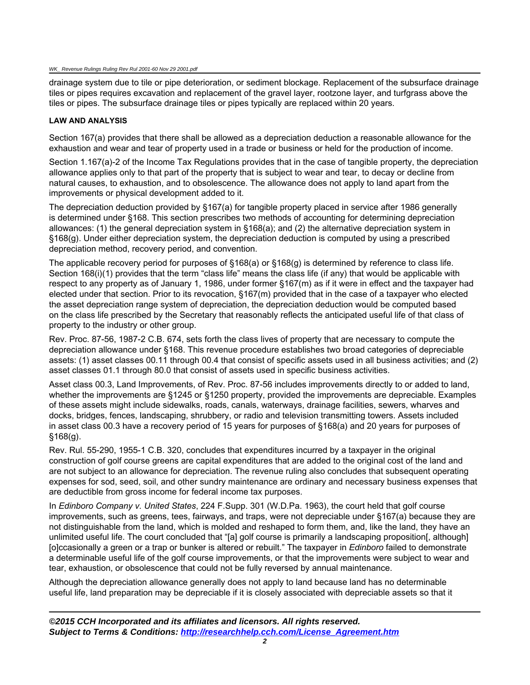drainage system due to tile or pipe deterioration, or sediment blockage. Replacement of the subsurface drainage tiles or pipes requires excavation and replacement of the gravel layer, rootzone layer, and turfgrass above the tiles or pipes. The subsurface drainage tiles or pipes typically are replaced within 20 years.

#### **LAW AND ANALYSIS**

Section 167(a) provides that there shall be allowed as a depreciation deduction a reasonable allowance for the exhaustion and wear and tear of property used in a trade or business or held for the production of income.

Section 1.167(a)-2 of the Income Tax Regulations provides that in the case of tangible property, the depreciation allowance applies only to that part of the property that is subject to wear and tear, to decay or decline from natural causes, to exhaustion, and to obsolescence. The allowance does not apply to land apart from the improvements or physical development added to it.

The depreciation deduction provided by §167(a) for tangible property placed in service after 1986 generally is determined under §168. This section prescribes two methods of accounting for determining depreciation allowances: (1) the general depreciation system in §168(a); and (2) the alternative depreciation system in §168(g). Under either depreciation system, the depreciation deduction is computed by using a prescribed depreciation method, recovery period, and convention.

The applicable recovery period for purposes of §168(a) or §168(g) is determined by reference to class life. Section 168(i)(1) provides that the term "class life" means the class life (if any) that would be applicable with respect to any property as of January 1, 1986, under former §167(m) as if it were in effect and the taxpayer had elected under that section. Prior to its revocation, §167(m) provided that in the case of a taxpayer who elected the asset depreciation range system of depreciation, the depreciation deduction would be computed based on the class life prescribed by the Secretary that reasonably reflects the anticipated useful life of that class of property to the industry or other group.

Rev. Proc. 87-56, 1987-2 C.B. 674, sets forth the class lives of property that are necessary to compute the depreciation allowance under §168. This revenue procedure establishes two broad categories of depreciable assets: (1) asset classes 00.11 through 00.4 that consist of specific assets used in all business activities; and (2) asset classes 01.1 through 80.0 that consist of assets used in specific business activities.

Asset class 00.3, Land Improvements, of Rev. Proc. 87-56 includes improvements directly to or added to land, whether the improvements are §1245 or §1250 property, provided the improvements are depreciable. Examples of these assets might include sidewalks, roads, canals, waterways, drainage facilities, sewers, wharves and docks, bridges, fences, landscaping, shrubbery, or radio and television transmitting towers. Assets included in asset class 00.3 have a recovery period of 15 years for purposes of §168(a) and 20 years for purposes of §168(g).

Rev. Rul. 55-290, 1955-1 C.B. 320, concludes that expenditures incurred by a taxpayer in the original construction of golf course greens are capital expenditures that are added to the original cost of the land and are not subject to an allowance for depreciation. The revenue ruling also concludes that subsequent operating expenses for sod, seed, soil, and other sundry maintenance are ordinary and necessary business expenses that are deductible from gross income for federal income tax purposes.

In *Edinboro Company v. United States*, 224 F.Supp. 301 (W.D.Pa. 1963), the court held that golf course improvements, such as greens, tees, fairways, and traps, were not depreciable under §167(a) because they are not distinguishable from the land, which is molded and reshaped to form them, and, like the land, they have an unlimited useful life. The court concluded that "[a] golf course is primarily a landscaping proposition[, although] [o]ccasionally a green or a trap or bunker is altered or rebuilt." The taxpayer in *Edinboro* failed to demonstrate a determinable useful life of the golf course improvements, or that the improvements were subject to wear and tear, exhaustion, or obsolescence that could not be fully reversed by annual maintenance.

Although the depreciation allowance generally does not apply to land because land has no determinable useful life, land preparation may be depreciable if it is closely associated with depreciable assets so that it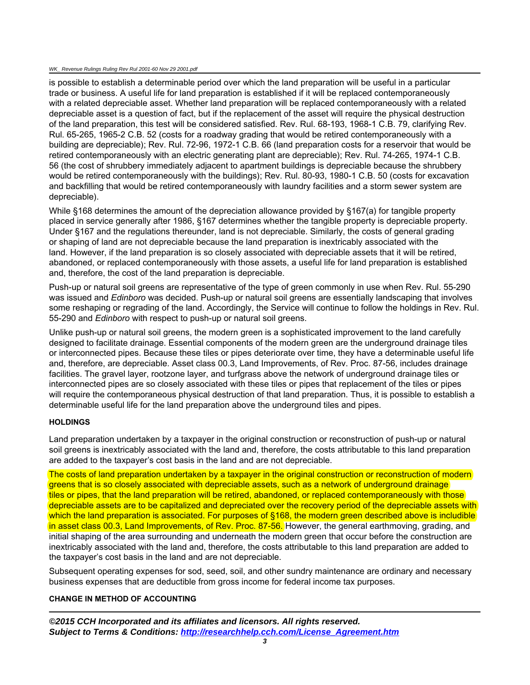#### WK\_ Revenue Rulings Ruling Rev Rul 2001-60 Nov 29 2001.pdf

is possible to establish a determinable period over which the land preparation will be useful in a particular trade or business. A useful life for land preparation is established if it will be replaced contemporaneously with a related depreciable asset. Whether land preparation will be replaced contemporaneously with a related depreciable asset is a question of fact, but if the replacement of the asset will require the physical destruction of the land preparation, this test will be considered satisfied. Rev. Rul. 68-193, 1968-1 C.B. 79, clarifying Rev. Rul. 65-265, 1965-2 C.B. 52 (costs for a roadway grading that would be retired contemporaneously with a building are depreciable); Rev. Rul. 72-96, 1972-1 C.B. 66 (land preparation costs for a reservoir that would be retired contemporaneously with an electric generating plant are depreciable); Rev. Rul. 74-265, 1974-1 C.B. 56 (the cost of shrubbery immediately adjacent to apartment buildings is depreciable because the shrubbery would be retired contemporaneously with the buildings); Rev. Rul. 80-93, 1980-1 C.B. 50 (costs for excavation and backfilling that would be retired contemporaneously with laundry facilities and a storm sewer system are depreciable).

While §168 determines the amount of the depreciation allowance provided by §167(a) for tangible property placed in service generally after 1986, §167 determines whether the tangible property is depreciable property. Under §167 and the regulations thereunder, land is not depreciable. Similarly, the costs of general grading or shaping of land are not depreciable because the land preparation is inextricably associated with the land. However, if the land preparation is so closely associated with depreciable assets that it will be retired, abandoned, or replaced contemporaneously with those assets, a useful life for land preparation is established and, therefore, the cost of the land preparation is depreciable.

Push-up or natural soil greens are representative of the type of green commonly in use when Rev. Rul. 55-290 was issued and *Edinboro* was decided. Push-up or natural soil greens are essentially landscaping that involves some reshaping or regrading of the land. Accordingly, the Service will continue to follow the holdings in Rev. Rul. 55-290 and *Edinboro* with respect to push-up or natural soil greens.

Unlike push-up or natural soil greens, the modern green is a sophisticated improvement to the land carefully designed to facilitate drainage. Essential components of the modern green are the underground drainage tiles or interconnected pipes. Because these tiles or pipes deteriorate over time, they have a determinable useful life and, therefore, are depreciable. Asset class 00.3, Land Improvements, of Rev. Proc. 87-56, includes drainage facilities. The gravel layer, rootzone layer, and turfgrass above the network of underground drainage tiles or interconnected pipes are so closely associated with these tiles or pipes that replacement of the tiles or pipes will require the contemporaneous physical destruction of that land preparation. Thus, it is possible to establish a determinable useful life for the land preparation above the underground tiles and pipes.

### **HOLDINGS**

Land preparation undertaken by a taxpayer in the original construction or reconstruction of push-up or natural soil greens is inextricably associated with the land and, therefore, the costs attributable to this land preparation are added to the taxpayer's cost basis in the land and are not depreciable.

The costs of land preparation undertaken by a taxpayer in the original construction or reconstruction of modern greens that is so closely associated with depreciable assets, such as a network of underground drainage tiles or pipes, that the land preparation will be retired, abandoned, or replaced contemporaneously with those depreciable assets are to be capitalized and depreciated over the recovery period of the depreciable assets with which the land preparation is associated. For purposes of §168, the modern green described above is includible in asset class 00.3, Land Improvements, of Rev. Proc. 87-56. However, the general earthmoving, grading, and initial shaping of the area surrounding and underneath the modern green that occur before the construction are inextricably associated with the land and, therefore, the costs attributable to this land preparation are added to the taxpayer's cost basis in the land and are not depreciable.

Subsequent operating expenses for sod, seed, soil, and other sundry maintenance are ordinary and necessary business expenses that are deductible from gross income for federal income tax purposes.

## **CHANGE IN METHOD OF ACCOUNTING**